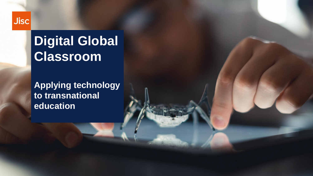### **Jisc**

## **Digital Global Classroom**

**Applying technology to transnational education**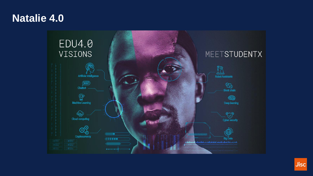## **Natalie 4.0**



**Jisc**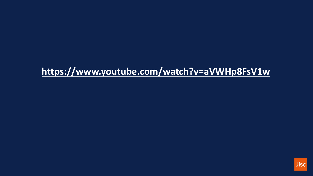## https://www.youtube.com/watch?v=aVWHp8FsV1w

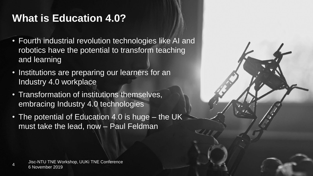## **What is Education 4.0?**

- Fourth industrial revolution technologies like AI and robotics have the potential to transform teaching and learning
- Institutions are preparing our learners for an Industry 4.0 workplace
- Transformation of institutions themselves, embracing Industry 4.0 technologies
- The potential of Education 4.0 is huge the UK must take the lead, now – Paul Feldman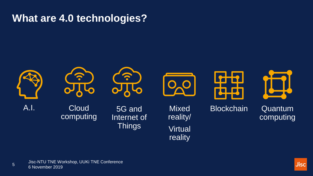## **What are 4.0 technologies?**



တဂ

**Cloud** computing



5G and Internet of **Things** 



**Mixed** reality/ **Virtual** reality



Blockchain Quantum computing

**Jisc** 

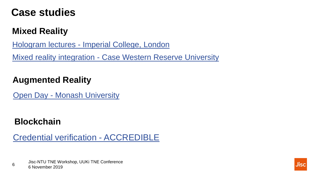## **Case studies**

## **Mixed Reality**

Hologram lectures - [Imperial College, London](https://www.youtube.com/watch?v=DkOKrVV3SS0)

[Mixed reality integration -](https://www.youtube.com/watch?v=vVFz1gBoGV4) Case Western Reserve University

#### **Augmented Reality**

Open Day - [Monash University](https://www.youtube.com/watch?v=0lvGZvG4kWk)

## **Blockchain**

[Credential verification -](https://youtu.be/CsQ924rd57I) ACCREDIBLE

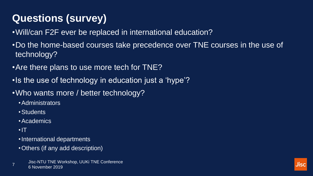## **Questions (survey)**

- •Will/can F2F ever be replaced in international education?
- •Do the home-based courses take precedence over TNE courses in the use of technology?
- •Are there plans to use more tech for TNE?
- •Is the use of technology in education just a 'hype'?
- •Who wants more / better technology?
	- •Administrators
	- •Students
	- •Academics
	- •IT
	- •International departments
	- •Others (if any add description)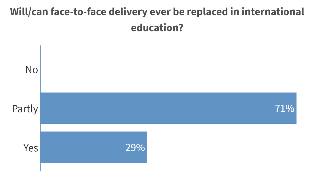## Will/can face-to-face delivery ever be replaced in international education?

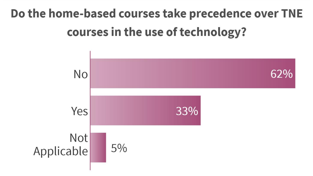# Do the home-based courses take precedence over TNE courses in the use of technology?

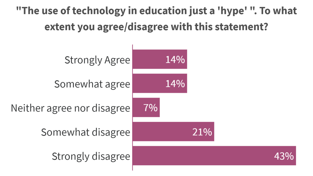"The use of technology in education just a 'hype' ". To what extent you agree/disagree with this statement?

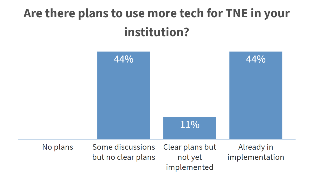# Are there plans to use more tech for TNE in your institution?

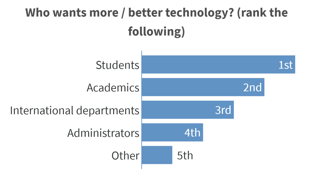

4th

5th





Other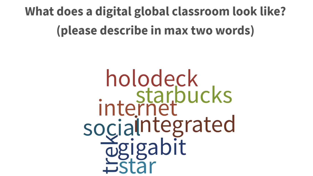# What does a digital global classroom look like? (please describe in max two words)

holodeck<br>internet socialntegrated 13 Education 4.0 - Jisc internal briefing - November 2018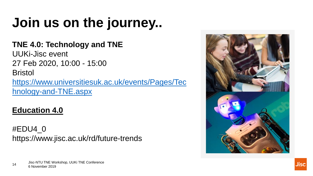# **Join us on the journey..**

#### **TNE 4.0: Technology and TNE**

UUKi-Jisc event 27 Feb 2020, 10:00 - 15:00 Bristol [https://www.universitiesuk.ac.uk/events/Pages/Tec](https://www.universitiesuk.ac.uk/events/Pages/Technology-and-TNE.aspx)

hnology-and-TNE.aspx

### **Education 4.0**

#EDU4\_0 https://www.jisc.ac.uk/rd/future-trends